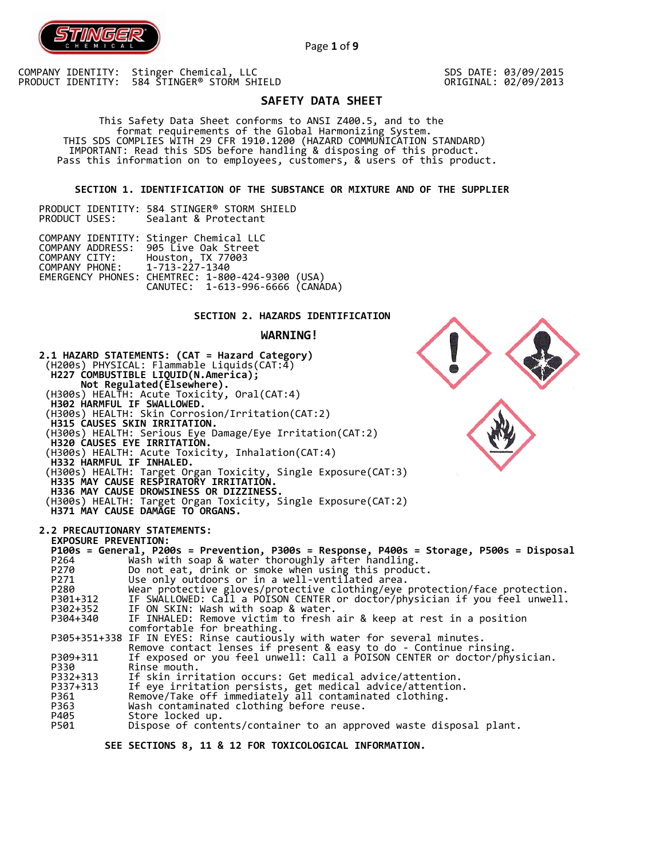

COMPANY IDENTITY: Stinger Chemical, LLC PRODUCT IDENTITY: 584 STINGER® STORM SHIELD SDS DATE: 03/09/2015 ORIGINAL: 02/09/2013

# **SAFETY DATA SHEET**

Page **1** of **9**

 This Safety Data Sheet conforms to ANSI Z400.5, and to the format requirements of the Global Harmonizing System. THIS SDS COMPLIES WITH 29 CFR 1910.1200 (HAZARD COMMUNICATION STANDARD) IMPORTANT: Read this SDS before handling & disposing of this product. Pass this information on to employees, customers, & users of this product.

**SECTION 1. IDENTIFICATION OF THE SUBSTANCE OR MIXTURE AND OF THE SUPPLIER** 

PRODUCT IDENTITY: 584 STINGER® STORM SHIELD<br>PRODUCT USES: Sealant & Protectant Sealant & Protectant

|                               | COMPANY IDENTITY: Stinger Chemical LLC           |  |
|-------------------------------|--------------------------------------------------|--|
|                               | COMPANY ADDRESS: 905 Live Oak Street             |  |
|                               | COMPANY CITY: Houston, TX 77003                  |  |
| COMPANY PHONE: 1-713-227-1340 |                                                  |  |
|                               | EMERGENCY PHONES: CHEMTREC: 1-800-424-9300 (USA) |  |
|                               | CANUTEC: 1-613-996-6666 (CANÁDA)                 |  |

## **SECTION 2. HAZARDS IDENTIFICATION**

## **WARNING!**



 **SEE SECTIONS 8, 11 & 12 FOR TOXICOLOGICAL INFORMATION.**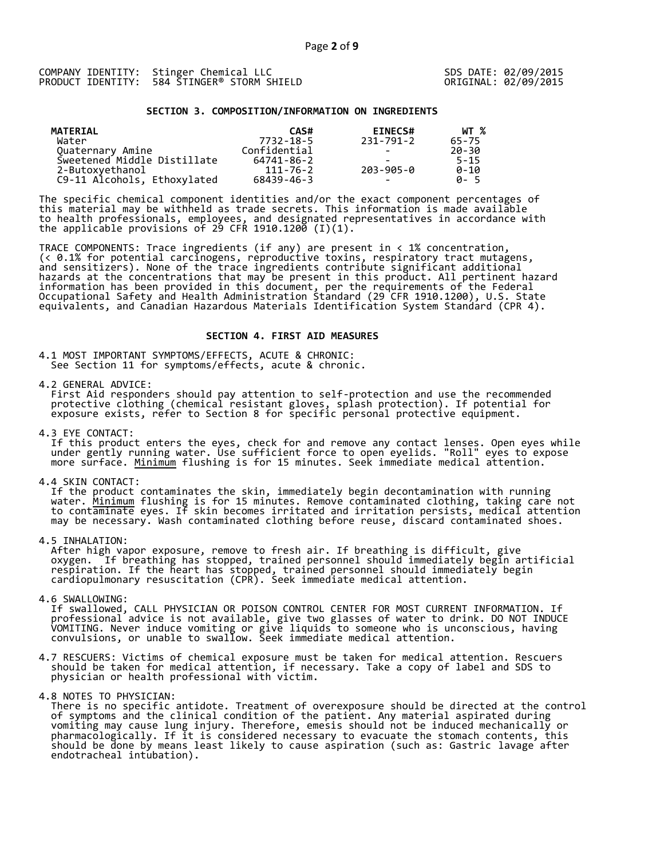### **SECTION 3. COMPOSITION/INFORMATION ON INGREDIENTS**

| MATERIAL                    | CAS#           | <b>EINECS#</b>           | WT %     |
|-----------------------------|----------------|--------------------------|----------|
| Water                       | 7732-18-5      | 231-791-2                | 65-75    |
| Quaternary Amine            | Confidential   | $\overline{\phantom{0}}$ | 20-30    |
| Sweetened Middle Distillate | 64741-86-2     | -                        | $5 - 15$ |
| 2-Butoxyethanol             | $111 - 76 - 2$ | 203-905-0                | $0 - 10$ |
| C9-11 Alcohols, Ethoxylated | 68439-46-3     | $\overline{\phantom{0}}$ | A-5      |

The specific chemical component identities and/or the exact component percentages of this material may be withheld as trade secrets. This information is made available to health professionals, employees, and designated representatives in accordance with the applicable provisions of 29 CFR 1910.1200̄ (I)(1).  $\overline{\phantom{a}}$ 

TRACE COMPONENTS: Trace ingredients (if any) are present in < 1% concentration, (< 0.1% for potential carcinogens, reproductive toxins, respiratory tract mutagens, and sensitizers). None of the trace ingredients contribute significant additional hazards at the concentrations that may be present in this product. All pertinent hazard information has been provided in this document, per the requirements of the Federal Occupational Safety and Health Administration Standard (29 CFR 1910.1200), U.S. State equivalents, and Canadian Hazardous Materials Identification System Standard (CPR 4).

## **SECTION 4. FIRST AID MEASURES**

4.1 MOST IMPORTANT SYMPTOMS/EFFECTS, ACUTE & CHRONIC: See Section 11 for symptoms/effects, acute & chronic.

4.2 GENERAL ADVICE:

 First Aid responders should pay attention to self-protection and use the recommended protective clothing (chemical resistant gloves, splash protection). If potential for exposure exists, refer to Section 8 for specific personal protective equipment.

4.3 EYE CONTACT:

 If this product enters the eyes, check for and remove any contact lenses. Open eyes while under gently running water. Use sufficient force to open eyelids. "Roll" eyes to expose more surface. <u>Minimum</u> flushing is for 15 minutes. Seek immediate medical attention.

4.4 SKIN CONTACT:

 If the product contaminates the skin, immediately begin decontamination with running water. <u>Minimum</u> flushing is for 15 minutes. Remove contaminated clothing, taking care not to contaminate eyes. If skin becomes irritated and irritation persists, medical attention may be necessary. Wash contaminated clothing before reuse, discard contaminated shoes.

4.5 INHALATION:

 After high vapor exposure, remove to fresh air. If breathing is difficult, give oxygen. If breathing has stopped, trained personnel should immediately begin artificial respiration. If the heart has stopped, trained personnel should immediately begin cardiopulmonary resuscitation (CPR). Seek immediate medical attention.

4.6 SWALLOWING:

 If swallowed, CALL PHYSICIAN OR POISON CONTROL CENTER FOR MOST CURRENT INFORMATION. If professional advice is not available, give two glasses of water to drink. DO NOT INDUCE VOMITING. Never induce vomiting or give liquids to someone who is unconscious, having convulsions, or unable to swallow. Seek immediate medical attention.

- 4.7 RESCUERS: Victims of chemical exposure must be taken for medical attention. Rescuers should be taken for medical attention, if necessary. Take a copy of label and SDS to physician or health professional with victim.
- 4.8 NOTES TO PHYSICIAN:
- There is no specific antidote. Treatment of overexposure should be directed at the control of symptoms and the clinical condition of the patient. Any material aspirated during vomiting may cause lung injury. Therefore, emesis should not be induced mechanically or pharmacologically. If it is considered necessary to evacuate the stomach contents, this should be done by means least likely to cause aspiration (such as: Gastric lavage after endotracheal intubation).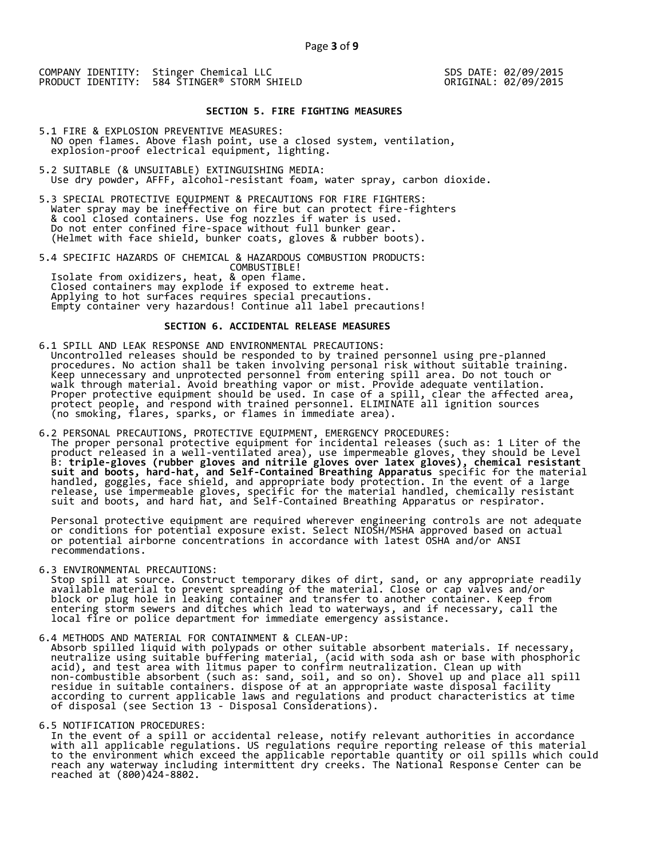## **SECTION 5. FIRE FIGHTING MEASURES**

5.1 FIRE & EXPLOSION PREVENTIVE MEASURES: NO open flames. Above flash point, use a closed system, ventilation, explosion-proof electrical equipment, lighting.

- 5.2 SUITABLE (& UNSUITABLE) EXTINGUISHING MEDIA: Use dry powder, AFFF, alcohol-resistant foam, water spray, carbon dioxide.
- 5.3 SPECIAL PROTECTIVE EQUIPMENT & PRECAUTIONS FOR FIRE FIGHTERS: Water spray may be ineffective on fire but can protect fire-fighters & cool closed containers. Use fog nozzles if water is used. Do not enter confined fire-space without full bunker gear. (Helmet with face shield, bunker coats, gloves & rubber boots).

5.4 SPECIFIC HAZARDS OF CHEMICAL & HAZARDOUS COMBUSTION PRODUCTS: COMBUSTIBLE! Isolate from oxidizers, heat, & open flame. Closed containers may explode if exposed to extreme heat. Applying to hot surfaces requires special precautions. Empty container very hazardous! Continue all label precautions!

## **SECTION 6. ACCIDENTAL RELEASE MEASURES**

- 6.1 SPILL AND LEAK RESPONSE AND ENVIRONMENTAL PRECAUTIONS: Uncontrolled releases should be responded to by trained personnel using pre-planned procedures. No action shall be taken involving personal risk without suitable training. Keep unnecessary and unprotected personnel from entering spill area. Do not touch or walk through material. Avoid breathing vapor or mist. Provide adequate ventilation. Proper protective equipment should be used. In case of a spill, clear the affected area, protect people, and respond with trained personnel. ELIMINATE all ignition sources (no smoking, flares, sparks, or flames in immediate area).
- 6.2 PERSONAL PRECAUTIONS, PROTECTIVE EQUIPMENT, EMERGENCY PROCEDURES: The proper personal protective equipment for incidental releases (such as: 1 Liter of the product released in a well-ventilated area), use impermeable gloves, they should be Level B: **triple-gloves (rubber gloves and nitrile gloves over latex gloves), chemical resistant suit and boots, hard-hat, and Self-Contained Breathing Apparatus** specific for the material handled, goggles, face shield, and appropriate body protection. In the event of a large release, use impermeable gloves, specific for the material handled, chemically resistant suit and boots, and hard hat, and Self-Contained Breathing Apparatus or respirator.

 Personal protective equipment are required wherever engineering controls are not adequate or conditions for potential exposure exist. Select NIOSH/MSHA approved based on actual or potential airborne concentrations in accordance with latest OSHA and/or ANSI recommendations.

6.3 ENVIRONMENTAL PRECAUTIONS:

 Stop spill at source. Construct temporary dikes of dirt, sand, or any appropriate readily available material to prevent spreading of the material. Close or cap valves and/or block or plug hole in leaking container and transfer to another container. Keep from entering storm sewers and ditches which lead to waterways, and if necessary, call the local fire or police department for immediate emergency assistance.

6.4 METHODS AND MATERIAL FOR CONTAINMENT & CLEAN-UP:

 Absorb spilled liquid with polypads or other suitable absorbent materials. If necessary, neutralize using suitable buffering material, (acid with soda ash or base with phosphoric acid), and test area with litmus paper to confirm neutralization. Clean up with non-combustible absorbent (such as: sand, soil, and so on). Shovel up and place all spill residue in suitable containers. dispose of at an appropriate waste disposal facility according to current applicable laws and regulations and product characteristics at time of disposal (see Section 13 - Disposal Considerations).

6.5 NOTIFICATION PROCEDURES:

 In the event of a spill or accidental release, notify relevant authorities in accordance with all applicable regulations. US regulations require reporting release of this material to the environment which exceed the applicable reportable quantity or oil spills which could reach any waterway including intermittent dry creeks. The National Response Center can be reached at (800)424-8802.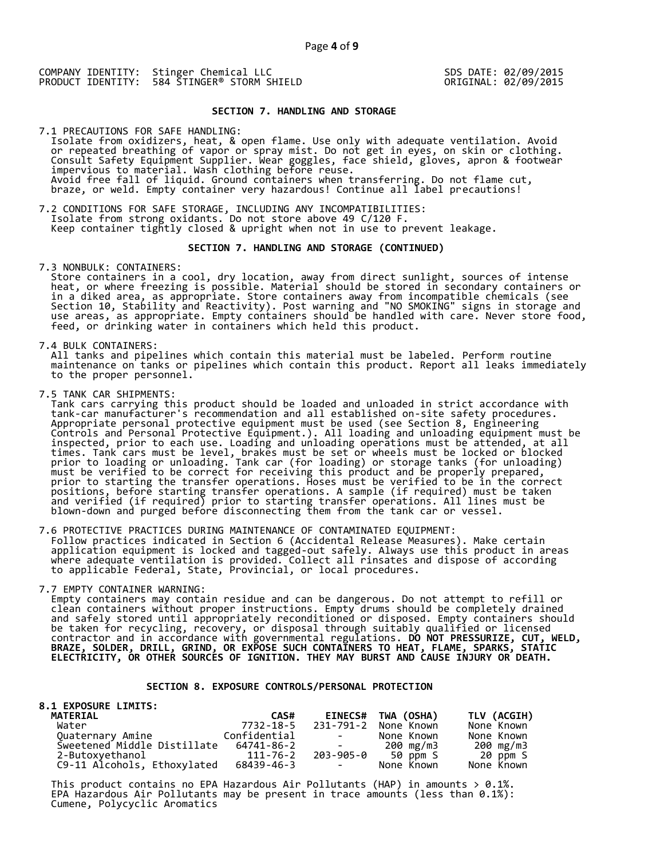### **SECTION 7. HANDLING AND STORAGE**

7.1 PRECAUTIONS FOR SAFE HANDLING: Isolate from oxidizers, heat, & open flame. Use only with adequate ventilation. Avoid or repeated breathing of vapor or spray mist. Do not get in eyes, on skin or clothing. Consult Safety Equipment Supplier. Wear goggles, face shield, gloves, apron & footwear impervious to material. Wash clothing before reuse. Avoid free fall of liquid. Ground containers when transferring. Do not flame cut, braze, or weld. Empty container very hazardous! Continue all label precautions!

7.2 CONDITIONS FOR SAFE STORAGE, INCLUDING ANY INCOMPATIBILITIES: Isolate from strong oxidants. Do not store above 49 C/120 F. Keep container tightly closed & upright when not in use to prevent leakage.

### **SECTION 7. HANDLING AND STORAGE (CONTINUED)**

7.3 NONBULK: CONTAINERS:

 Store containers in a cool, dry location, away from direct sunlight, sources of intense heat, or where freezing is possible. Material should be stored in secondary containers or in a diked area, as appropriate. Store containers away from incompatible chemicals (see Section 10, Stability and Reactivity). Post warning and "NO SMOKING" signs in storage and use areas, as appropriate. Empty containers should be handled with care. Never store food, feed, or drinking water in containers which held this product.

7.4 BULK CONTAINERS:

 All tanks and pipelines which contain this material must be labeled. Perform routine maintenance on tanks or pipelines which contain this product. Report all leaks immediately to the proper personnel.

7.5 TANK CAR SHIPMENTS:

 Tank cars carrying this product should be loaded and unloaded in strict accordance with tank-car manufacturer's recommendation and all established on-site safety procedures. Appropriate personal protective equipment must be used (see Section 8, Engineering Controls and Personal Protective Equipment.). All loading and unloading equipment must be inspected, prior to each use. Loading and unloading operations must be attended, at all times. Tank cars must be level, brakes must be set or wheels must be locked or blocked prior to loading or unloading. Tank car (for loading) or storage tanks (for unloading) must be verified to be correct for receiving this product and be properly prepared, prior to starting the transfer operations. Hoses must be verified to be in the correct positions, before starting transfer operations. A sample (if required) must be taken and verified (if required) prior to starting transfer operations. All lines must be blown-down and purged before disconnecting them from the tank car or vessel.

7.6 PROTECTIVE PRACTICES DURING MAINTENANCE OF CONTAMINATED EQUIPMENT: Follow practices indicated in Section 6 (Accidental Release Measures). Make certain application equipment is locked and tagged-out safely. Always use this product in areas where adequate ventilation is provided. Collect all rinsates and dispose of according to applicable Federal, State, Provincial, or local procedures.

### 7.7 EMPTY CONTAINER WARNING:

 Empty containers may contain residue and can be dangerous. Do not attempt to refill or clean containers without proper instructions. Empty drums should be completely drained and safely stored until appropriately reconditioned or disposed. Empty containers should be taken for recycling, recovery, or disposal through suitably qualified or licensed contractor and in accordance with governmental regulations. **DO NOT PRESSURIZE, CUT, WELD, BRAZE, SOLDER, DRILL, GRIND, OR EXPOSE SUCH CONTAINERS TO HEAT, FLAME, SPARKS, STATIC ELECTRICITY, OR OTHER SOURCES OF IGNITION. THEY MAY BURST AND CAUSE INJURY OR DEATH.**

### **SECTION 8. EXPOSURE CONTROLS/PERSONAL PROTECTION**

### **8.1 EXPOSURE LIMITS: MATERIAL CAS# EINECS# TWA (OSHA) TLV (ACGIH)**  7732-18-5 231-791-2 None Known None Known<br>Confidential - None Known None Known Quaternary Amine Confidential - None Known None Known Sweetened Middle Distillate 64741-86-2 - 200 mg/m3 200 mg/m3 Sweetened Middle Distillate 64741-86-2 200 mg/m3 200 mg/m3<br>2-Butoxyethanol 111-76-2 203-905-0 50 ppm S 20 ppm S<br>C9-11 Alcohols, Eth C9-11 Alcohols, Ethoxylated

This product contains no EPA Hazardous Air Pollutants (HAP) in amounts  $> 0.1\%$ . EPA Hazardous Air Pollutants may be present in trace amounts (less than 0.1%): Cumene, Polycyclic Aromatics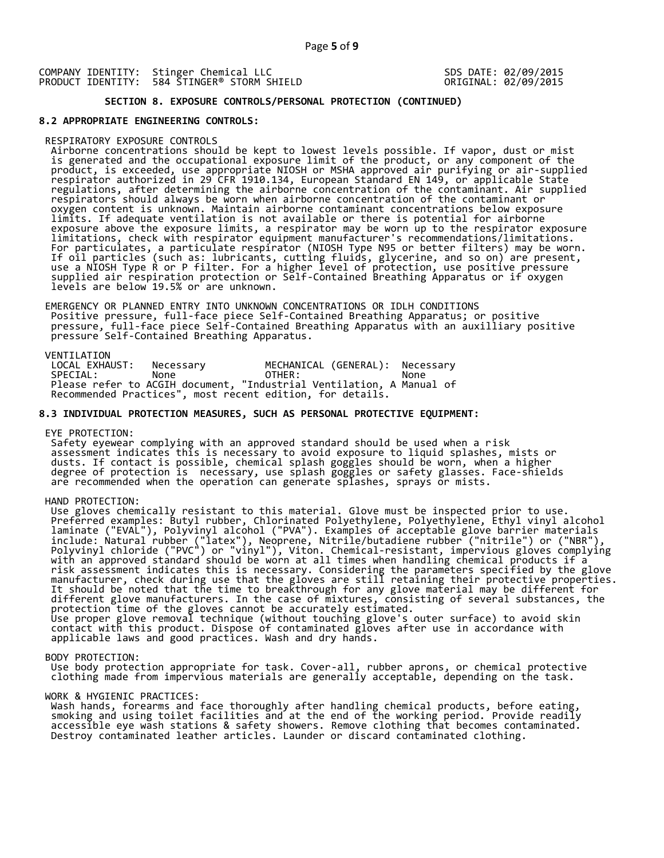## **SECTION 8. EXPOSURE CONTROLS/PERSONAL PROTECTION (CONTINUED)**

### **8.2 APPROPRIATE ENGINEERING CONTROLS:**

#### RESPIRATORY EXPOSURE CONTROLS

 Airborne concentrations should be kept to lowest levels possible. If vapor, dust or mist is generated and the occupational exposure limit of the product, or any component of the product, is exceeded, use appropriate NIOSH or MSHA approved air purifying or air-supplied respirator authorized in 29 CFR 1910.134, European Standard EN 149, or applicable State regulations, after determining the airborne concentration of the contaminant. Air supplied respirators should always be worn when airborne concentration of the contaminant or oxygen content is unknown. Maintain airborne contaminant concentrations below exposure limits. If adequate ventilation is not available or there is potential for airborne exposure above the exposure limits, a respirator may be worn up to the respirator exposure limitations, check with respirator equipment manufacturer's recommendations/limitations. For particulates, a particulate respirator (NIOSH Type N95 or better filters) may be worn. If oil particles (such as: lubricants, cutting fluids, glycerine, and so on) are present, use a NIOSH Type R or P filter. For a higher level of protection, use positive pressure supplied air respiration protection or Self-Contained Breathing Apparatus or if oxygen levels are below 19.5% or are unknown.

 EMERGENCY OR PLANNED ENTRY INTO UNKNOWN CONCENTRATIONS OR IDLH CONDITIONS Positive pressure, full-face piece Self-Contained Breathing Apparatus; or positive pressure, full-face piece Self-Contained Breathing Apparatus with an auxilliary positive pressure Self-Contained Breathing Apparatus.

VENTILATION<br>LOCAL EXHAUST: LOCAL EXHAUST: Necessary MECHANICAL (GENERAL): Necessary SPECIAL: None OTHER: None Please refer to ACGIH document, "Industrial Ventilation, A Manual of Recommended Practices", most recent edition, for details.

### **8.3 INDIVIDUAL PROTECTION MEASURES, SUCH AS PERSONAL PROTECTIVE EQUIPMENT:**

EYE PROTECTION:

 Safety eyewear complying with an approved standard should be used when a risk assessment indicates this is necessary to avoid exposure to liquid splashes, mists or dusts. If contact is possible, chemical splash goggles should be worn, when a higher degree of protection is necessary, use splash goggles or safety glasses. Face-shields are recommended when the operation can generate splashes, sprays or mists.

HAND PROTECTION:

 Use gloves chemically resistant to this material. Glove must be inspected prior to use. Preferred examples: Butyl rubber, Chlorinated Polyethylene, Polyethylene, Ethyl vinyl alcohol laminate ("EVAL"), Polyvinyl alcohol ("PVA"). Examples of acceptable glove barrier materials include: Natural rubber ("latex"), Neoprene, Nitrile/butadiene rubber ("nitrile") or ("NBR"), Polyvinyl chloride ("PVC") or "vinyl"), Viton. Chemical-resistant, impervious gloves complying with an approved standard should be worn at all times when handling chemical products if a risk assessment indicates this is necessary. Considering the parameters specified by the glove manufacturer, check during use that the gloves are still retaining their protective properties. It should be noted that the time to breakthrough for any glove material may be different for different glove manufacturers. In the case of mixtures, consisting of several substances, the protection time of the gloves cannot be accurately estimated. Use proper glove removal technique (without touching glove's outer surface) to avoid skin contact with this product. Dispose of contaminated gloves after use in accordance with applicable laws and good practices. Wash and dry hands.

#### BODY PROTECTION:

 Use body protection appropriate for task. Cover-all, rubber aprons, or chemical protective clothing made from impervious materials are generally acceptable, depending on the task.

### WORK & HYGIENIC PRACTICES:

 Wash hands, forearms and face thoroughly after handling chemical products, before eating, smoking and using toilet facilities and at the end of the working period. Provide readily accessible eye wash stations & safety showers. Remove clothing that becomes contaminated. Destroy contaminated leather articles. Launder or discard contaminated clothing.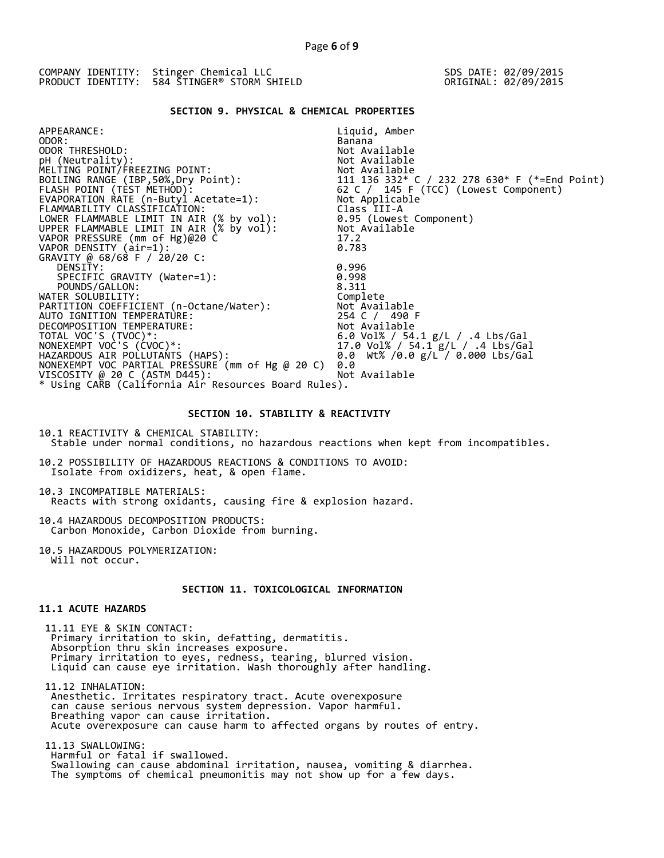## **SECTION 9. PHYSICAL & CHEMICAL PROPERTIES**

| APPEARANCE:                                            | Liquid, Amber                                                                                               |
|--------------------------------------------------------|-------------------------------------------------------------------------------------------------------------|
| ODOR:                                                  | Banana                                                                                                      |
| ODOR THRESHOLD:                                        | Not Available                                                                                               |
| pH (Neutrality):                                       | Not Available                                                                                               |
| MELTING POINT/FREEZING POINT:                          |                                                                                                             |
| BOILING RANGE (IBP, 50%, Dry Point):                   |                                                                                                             |
| FLASH POINT (TÈST METHOD):                             | Not Available<br>111  136  332* C / 232  278  630* F (*=End Point)<br>62 C / 145 F (TCC) (Lowest Component) |
| EVAPORATION RATE (n-Butyl Acetate=1):                  | Not Applicable                                                                                              |
| FLAMMABILITY CLASSIFICATION:                           | Class III-A                                                                                                 |
| LOWER FLAMMABLE LIMIT IN AIR (% by vol):               | 0.95 (Lowest Component)                                                                                     |
| UPPER FLAMMABLE LIMIT IN AIR $(x\;$ by $\text{vol})$ : | Not Available                                                                                               |
| VAPOR PRESSURE (mm of Hg)@20 C                         | 17.2                                                                                                        |
| VAPOR DENSITY (air=1):                                 | 0.783                                                                                                       |
| GRAVITY @ 68/68 F / 20/20 C:                           |                                                                                                             |
| DENSITY:                                               | 0.996                                                                                                       |
| SPECIFIC GRAVITY (Water=1):                            | 0.998                                                                                                       |
| POUNDS/GALLON:                                         | 8.311                                                                                                       |
| WATER SOLUBILITY:                                      | Complete                                                                                                    |
| PARTITION COEFFICIENT (n-Octane/Water):                | Not Available                                                                                               |
| AUTO IGNITION TEMPERATURE:                             | 254 C / 490 F                                                                                               |
| DECOMPOSITION TEMPERATURE:                             | Not Available                                                                                               |
| TOTAL VOC'S (TVOC)*:                                   | 6.0 Vol% / 54.1 g/L / .4 Lbs/Gal                                                                            |
| NONEXEMPT VOC'S (CVOC)*:                               | 17.0 Vol% / 54.1 g/L / .4 Lbs/Gal                                                                           |
| HAZARDOUS AIR POLLUTANTS (HAPS):                       | 0.0 Wt% /0.0 g/L / 0.000 Lbs/Gal                                                                            |
| NONEXEMPT VOC PARTIAL PRESSURE (mm of Hg @ 20 C)       | 0.0                                                                                                         |
| VISCOSITY @ 20 C (ASTM D445):                          | Not Available                                                                                               |
| * Using CARB (California Air Resources Board Rules).   |                                                                                                             |
|                                                        |                                                                                                             |

## **SECTION 10. STABILITY & REACTIVITY**

10.1 REACTIVITY & CHEMICAL STABILITY: Stable under normal conditions, no hazardous reactions when kept from incompatibles.

10.2 POSSIBILITY OF HAZARDOUS REACTIONS & CONDITIONS TO AVOID: Isolate from oxidizers, heat, & open flame.

10.3 INCOMPATIBLE MATERIALS: Reacts with strong oxidants, causing fire & explosion hazard.

10.4 HAZARDOUS DECOMPOSITION PRODUCTS: Carbon Monoxide, Carbon Dioxide from burning.

10.5 HAZARDOUS POLYMERIZATION: Will not occur.

## **SECTION 11. TOXICOLOGICAL INFORMATION**

## **11.1 ACUTE HAZARDS**

 11.11 EYE & SKIN CONTACT: Primary irritation to skin, defatting, dermatitis. Absorption thru skin increases exposure. Primary irritation to eyes, redness, tearing, blurred vision. Liquid can cause eye irritation. Wash thoroughly after handling.

 11.12 INHALATION: Anesthetic. Irritates respiratory tract. Acute overexposure can cause serious nervous system depression. Vapor harmful. Breathing vapor can cause irritation. Acute overexposure can cause harm to affected organs by routes of entry.

 11.13 SWALLOWING: Harmful or fatal if swallowed. Swallowing can cause abdominal irritation, nausea, vomiting & diarrhea. The symptoms of chemical pneumonitis may not show up for a few days.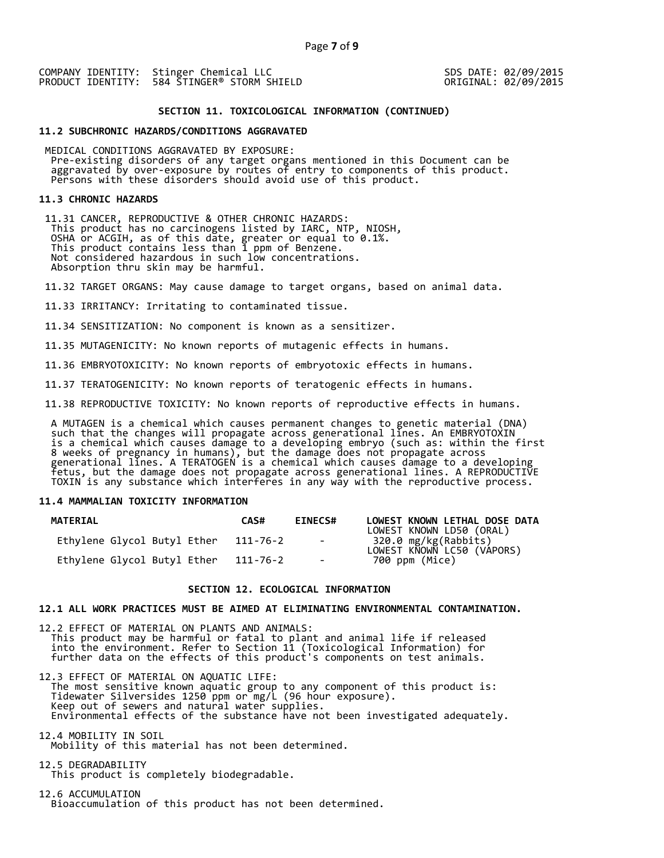### **SECTION 11. TOXICOLOGICAL INFORMATION (CONTINUED)**

### **11.2 SUBCHRONIC HAZARDS/CONDITIONS AGGRAVATED**

 MEDICAL CONDITIONS AGGRAVATED BY EXPOSURE: Pre-existing disorders of any target organs mentioned in this Document can be aggravated by over-exposure by routes of entry to components of this product. Persons with these disorders should avoid use of this product.

### **11.3 CHRONIC HAZARDS**

 11.31 CANCER, REPRODUCTIVE & OTHER CHRONIC HAZARDS: This product has no carcinogens listed by IARC, NTP, NIOSH, OSHA or ACGIH, as of this date, greater or equal to 0.1%. This product contains less than 1 ppm of Benzene. Not considered hazardous in such low concentrations. Absorption thru skin may be harmful.

11.32 TARGET ORGANS: May cause damage to target organs, based on animal data.

11.33 IRRITANCY: Irritating to contaminated tissue.

11.34 SENSITIZATION: No component is known as a sensitizer.

11.35 MUTAGENICITY: No known reports of mutagenic effects in humans.

11.36 EMBRYOTOXICITY: No known reports of embryotoxic effects in humans.

11.37 TERATOGENICITY: No known reports of teratogenic effects in humans.

11.38 REPRODUCTIVE TOXICITY: No known reports of reproductive effects in humans.

 A MUTAGEN is a chemical which causes permanent changes to genetic material (DNA) such that the changes will propagate across generational lines. An EMBRYOTOXIN is a chemical which causes damage to a developing embryo (such as: within the first 8 weeks of pregnancy in humans), but the damage does not propagate across generational lines. A TERATOGEN is a chemical which causes damage to a developing fetus, but the damage does not propagate across generational lines. A REPRODUCTIVE TOXIN is any substance which interferes in any way with the reproductive process.

### **11.4 MAMMALIAN TOXICITY INFORMATION**

| <b>MATERIAL</b>             | CAS#     | <b>EINECS#</b>       | LOWEST KNOWN LETHAL DOSE DATA<br>LOWEST KNOWN LD50 (ORAL) |
|-----------------------------|----------|----------------------|-----------------------------------------------------------|
| Ethylene Glycol Butyl Ether | 111-76-2 | and the state of the | 320.0 mg/kg(Rabbits)<br>LOWEST KNOWN LC50 (VÁPORS)        |
| Ethylene Glycol Butyl Ether | 111-76-2 | $\sim$               | 700 ppm (Mice)                                            |

### **SECTION 12. ECOLOGICAL INFORMATION**

### **12.1 ALL WORK PRACTICES MUST BE AIMED AT ELIMINATING ENVIRONMENTAL CONTAMINATION.**

12.2 EFFECT OF MATERIAL ON PLANTS AND ANIMALS: This product may be harmful or fatal to plant and animal life if released into the environment. Refer to Section 11 (Toxicological Information) for further data on the effects of this product's components on test animals.

12.3 EFFECT OF MATERIAL ON AQUATIC LIFE: The most sensitive known aquatic group to any component of this product is: Tidewater Silversides 1250 ppm or mg/L (96 hour exposure). Keep out of sewers and natural water supplies. Environmental effects of the substance have not been investigated adequately.

12.4 MOBILITY IN SOIL Mobility of this material has not been determined.

12.5 DEGRADABILITY This product is completely biodegradable.

12.6 ACCUMULATION Bioaccumulation of this product has not been determined.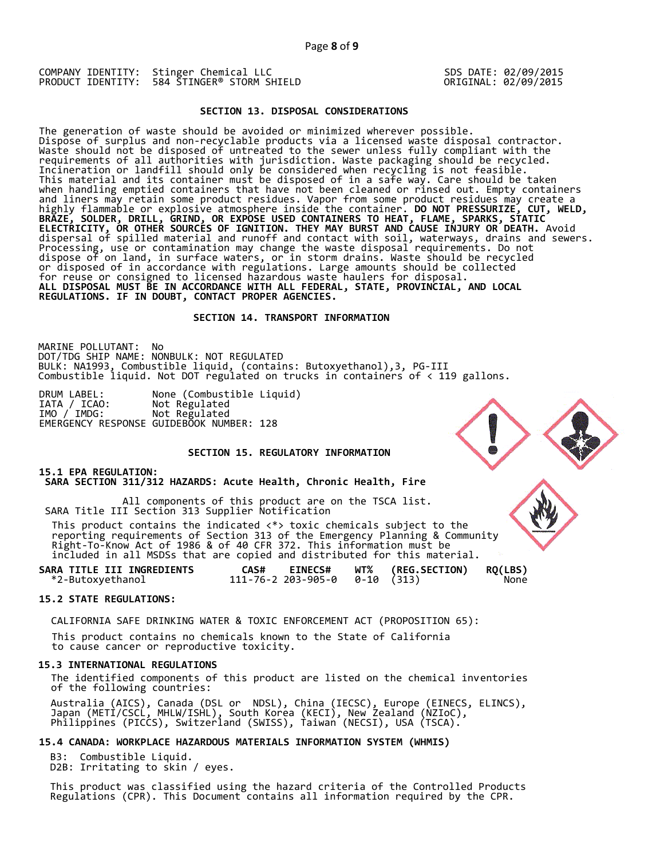### **SECTION 13. DISPOSAL CONSIDERATIONS**

The generation of waste should be avoided or minimized wherever possible. Dispose of surplus and non-recyclable products via a licensed waste disposal contractor. Waste should not be disposed of untreated to the sewer unless fully compliant with the requirements of all authorities with jurisdiction. Waste packaging should be recycled. Incineration or landfill should only be considered when recycling is not feasible. This material and its container must be disposed of in a safe way. Care should be taken when handling emptied containers that have not been cleaned or rinsed out. Empty containers and liners may retain some product residues. Vapor from some product residues may create a highly flammable or explosive atmosphere inside the container. **DO NOT PRESSURIZE, CUT, WELD, BRAZE, SOLDER, DRILL, GRIND, OR EXPOSE USED CONTAINERS TO HEAT, FLAME, SPARKS, STATIC ELECTRICITY, OR OTHER SOURCES OF IGNITION. THEY MAY BURST AND CAUSE INJURY OR DEATH.** Avoid dispersal of spilled material and runoff and contact with soil, waterways, drains and sewers. Processing, use or contamination may change the waste disposal requirements. Do not dispose of on land, in surface waters, or in storm drains. Waste should be recycled or disposed of in accordance with regulations. Large amounts should be collected for reuse or consigned to licensed hazardous waste haulers for disposal. **ALL DISPOSAL MUST BE IN ACCORDANCE WITH ALL FEDERAL, STATE, PROVINCIAL, AND LOCAL REGULATIONS. IF IN DOUBT, CONTACT PROPER AGENCIES.** 

### **SECTION 14. TRANSPORT INFORMATION**

MARINE POLLUTANT: No DOT/TDG SHIP NAME: NONBULK: NOT REGULATED BULK: NA1993, Combustible liquid, (contains: Butoxyethanol),3, PG-III Combustible liquid. Not DOT regulated on trucks in containers of < 119 gallons.

DRUM LABEL: None (Combustible Liquid)<br>IATA / ICAO: Not Regulated IATA / ICAO: Not Regulated Not Regulated EMERGENCY RESPONSE GUIDEBOOK NUMBER: 128

## **SECTION 15. REGULATORY INFORMATION**

### **15.1 EPA REGULATION: SARA SECTION 311/312 HAZARDS: Acute Health, Chronic Health, Fire**

All components of this product are on the TSCA list. SARA Title III Section 313 Supplier Notification

 This product contains the indicated <\*> toxic chemicals subject to the reporting requirements of Section 313 of the Emergency Planning & Community Right-To-Know Act of 1986 & of 40 CFR 372. This information must be included in all MSDSs that are copied and distributed for this material.

| SARA TITLE III INGREDIENTS | <b>EINECS#</b><br>CAS#                 | <b>WT% (REG.SECTION)</b> | <b>RQ(LBS)</b> |
|----------------------------|----------------------------------------|--------------------------|----------------|
| *2-Butoxyethanol           | $111 - 76 - 2203 - 905 - 00 - 10(313)$ |                          | None           |

### **15.2 STATE REGULATIONS:**

CALIFORNIA SAFE DRINKING WATER & TOXIC ENFORCEMENT ACT (PROPOSITION 65):

 This product contains no chemicals known to the State of California to cause cancer or reproductive toxicity.

### **15.3 INTERNATIONAL REGULATIONS**

 The identified components of this product are listed on the chemical inventories of the following countries:

 Australia (AICS), Canada (DSL or NDSL), China (IECSC), Europe (EINECS, ELINCS), Japan (METI/CSCL, MHLW/ISHL), South Korea (KECI), New Zealand (NZIoC), Philippines (PICCS), Switzerland (SWISS), Taiwan (NECSI), USA (TSCA).

## **15.4 CANADA: WORKPLACE HAZARDOUS MATERIALS INFORMATION SYSTEM (WHMIS)**

 B3: Combustible Liquid. D2B: Irritating to skin / eyes.

 This product was classified using the hazard criteria of the Controlled Products Regulations (CPR). This Document contains all information required by the CPR.